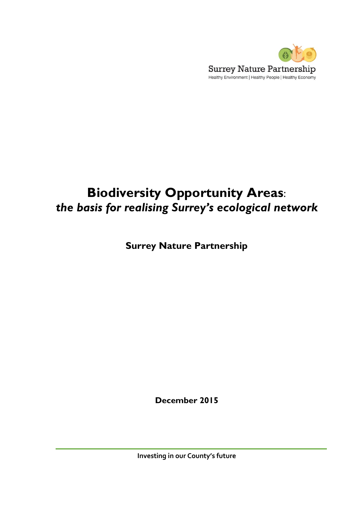

# **Biodiversity Opportunity Areas**: *the basis for realising Surrey's ecological network*

**Surrey Nature Partnership**

**December 2015**

**Investing in our County's future**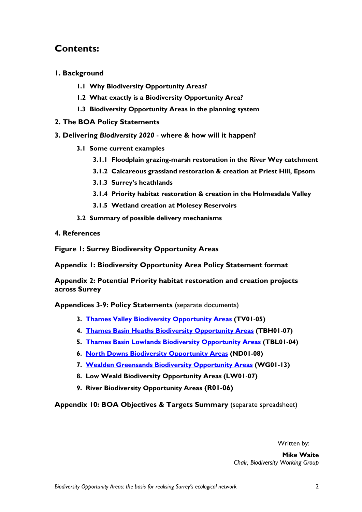## **Contents:**

- **1. Background**
	- **1.1 Why Biodiversity Opportunity Areas?**
	- **1.2 What exactly is a Biodiversity Opportunity Area?**
	- **1.3 Biodiversity Opportunity Areas in the planning system**
- **2. The BOA Policy Statements**
- **3. Delivering** *Biodiversity 2020* **where & how will it happen?**
	- **3.1 Some current examples** 
		- **3.1.1 Floodplain grazing-marsh restoration in the River Wey catchment**
		- **3.1.2 Calcareous grassland restoration & creation at Priest Hill, Epsom**
		- **3.1.3 Surrey's heathlands**
		- **3.1.4 Priority habitat restoration & creation in the Holmesdale Valley**
		- **3.1.5 Wetland creation at Molesey Reservoirs**
	- **3.2 Summary of possible delivery mechanisms**
- **4. References**

**Figure 1: Surrey Biodiversity Opportunity Areas**

**Appendix 1: Biodiversity Opportunity Area Policy Statement format**

**Appendix 2: Potential Priority habitat restoration and creation projects across Surrey**

**Appendices 3**-**9: Policy Statements** (separate documents)

- **3. [Thames Valley Biodiversity Opportunity Areas](https://surreynaturepartnership.files.wordpress.com/2014/11/appendix-3_thames-valley-biodiversity-opportunity-area-policy-statements.pdf) (TV01**-**05)**
- **4. Thames Basin Heaths [Biodiversity Opportunity Areas](https://surreynaturepartnership.files.wordpress.com/2014/11/appendix-4_thames-basin-heaths-biodiversity-opportunity-area-policy-statements.pdf) (TBH01**-**07)**
- **5. Thames Basin Lowlands [Biodiversity Opportunity Areas](https://surreynaturepartnership.files.wordpress.com/2014/11/appendix-5_thames-basin-lowlands-biodiversity-opportunity-area-policy-statements.pdf) (TBL01**-**04)**
- **6. [North Downs Biodiversity Opportunity Areas](https://surreynaturepartnership.files.wordpress.com/2014/11/appendix-6_north-downs-biodiversity-opportunity-area-policy-statements.pdf) (ND01**-**08)**
- **7. [Wealden Greensands Biodiversity Opportunity Areas](https://surreynaturepartnership.files.wordpress.com/2014/11/appendix-7_wealden-greensands-biodiversity-opportunity-area-policy-statements.pdf) (WG01**-**13)**
- **8. Low Weald Biodiversity Opportunity Areas (LW01**-**07)**
- **9. River Biodiversity Opportunity Areas (R01**-**06)**

**Appendix 10: BOA Objectives & Targets Summary** (separate spreadsheet)

Written by:

**Mike Waite** *Chair, Biodiversity Working Group*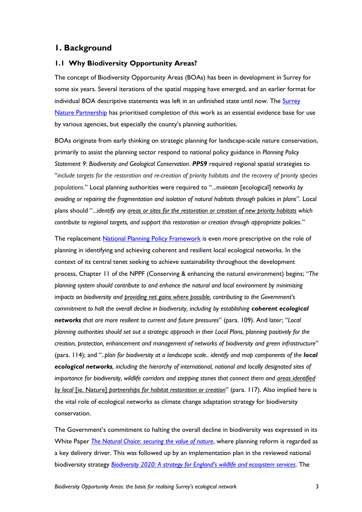#### **1. Background**

#### **1.1 Why Biodiversity Opportunity Areas?**

The concept of Biodiversity Opportunity Areas (BOAs) has been in development in Surrey for some six years. Several iterations of the spatial mapping have emerged, and an earlier format for individual BOA descriptive statements was left in an unfinished state until now. The Surrey [Nature Partnership](http://surreynaturepartnership.org.uk/) has prioritised completion of this work as an essential evidence base for use by various agencies, but especially the county's planning authorities.

BOAs originate from early thinking on strategic planning for landscape-scale nature conservation, primarily to assist the planning sector respond to national policy guidance in *Planning Policy Statement 9: Biodiversity and Geological Conservation*. *PPS9* required regional spatial strategies to "*include targets for the restoration and re-creation of priority habitats and the recovery of priority species populations*." Local planning authorities were required to "...*maintain* [ecological] *networks by avoiding or repairing the fragmentation and isolation of natural habitats through policies in plans*". Local plans should "...*identify any areas or sites for the restoration or creation of new priority habitats which contribute to regional targets, and support this restoration or creation through appropriate policies*."

The replacement [National Planning Policy Framework](https://www.gov.uk/government/uploads/system/uploads/attachment_data/file/6077/2116950.pdf) is even more prescriptive on the role of planning in identifying and achieving coherent and resilient local ecological networks. In the context of its central tenet seeking to achieve sustainability throughout the development process, Chapter 11 of the NPPF (Conserving & enhancing the natural environment) begins; "*The planning system should contribute to and enhance the natural and local environment by minimising impacts on biodiversity and providing net gains where possible, contributing to the Government's commitment to halt the overall decline in biodiversity, including by establishing coherent ecological networks that are more resilient to current and future pressures*" (para. 109). And later; "*Local planning authorities should set out a strategic approach in their Local Plans, planning positively for the creation, protection, enhancement and management of networks of biodiversity and green infrastructure*" (para. 114); and "..*plan for biodiversity at a landscape scale.. identify and map components of the local ecological networks, including the hierarchy of international, national and locally designated sites of importance for biodiversity, wildlife corridors and stepping stones that connect them and areas identified by local* [ie. Nature] *partnerships for habitat restoration or creation*" (para. 117). Also implied here is the vital role of ecological networks as climate change adaptation strategy for biodiversity conservation.

The Government's commitment to halting the overall decline in biodiversity was expressed in its White Paper *The Natural Choice*: *[securing the value of nature](https://www.gov.uk/government/uploads/system/uploads/attachment_data/file/228842/8082.pdf)*, where planning reform is regarded as a key delivery driver. This was followed up by an implementation plan in the reviewed national biodiversity strategy *[Biodiversity 2020: A strategy for England's wildlife and ecosystem services](https://www.gov.uk/government/uploads/system/uploads/attachment_data/file/69446/pb13583-biodiversity-strategy-2020-111111.pdf)*. The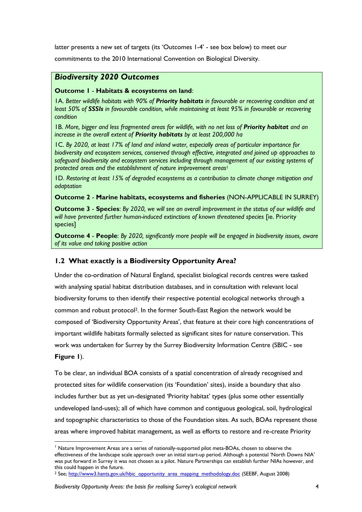latter presents a new set of targets (its 'Outcomes 1-4' - see box below) to meet our

commitments to the 2010 International Convention on Biological Diversity.

#### *Biodiversity 2020 Outcomes*

#### **Outcome 1** - **Habitats & ecosystems on land**:

1A. *Better wildlife habitats with 90% of Priority habitats in favourable or recovering condition and at least 50% of SSSIs in favourable condition, while maintaining at least 95% in favourable or recovering condition*

1B. *More, bigger and less fragmented areas for wildlife, with no net loss of Priority habitat and an increase in the overall extent of Priority habitats by at least 200,000 ha*

1C. *By 2020, at least 17% of land and inland water, especially areas of particular importance for biodiversity and ecosystem services, conserved through effective, integrated and joined up approaches to safeguard biodiversity and ecosystem services including through management of our existing systems of protected areas and the establishment of nature improvement areas*<sup>1</sup>

1D. *Restoring at least 15% of degraded ecosystems as a contribution to climate change mitigation and adaptation*

**Outcome 2** - **Marine habitats, ecosystems and fisheries** (NON-APPLICABLE IN SURREY)

**Outcome 3** - **Species**: *By 2020, we will see an overall improvement in the status of our wildlife and will have prevented further human-induced extinctions of known threatened species* [ie. Priority species]

**Outcome 4** - **People**: *By 2020, significantly more people will be engaged in biodiversity issues, aware of its value and taking positive action*

#### **1.2 What exactly is a Biodiversity Opportunity Area?**

Under the co-ordination of Natural England, specialist biological records centres were tasked with analysing spatial habitat distribution databases, and in consultation with relevant local biodiversity forums to then identify their respective potential ecological networks through a common and robust protocol2. In the former South-East Region the network would be composed of 'Biodiversity Opportunity Areas', that feature at their core high concentrations of important wildlife habitats formally selected as significant sites for nature conservation. This work was undertaken for Surrey by the Surrey Biodiversity Information Centre (SBIC - see **Figure 1**).

To be clear, an individual BOA consists of a spatial concentration of already recognised and protected sites for wildlife conservation (its 'Foundation' sites), inside a boundary that also includes further but as yet un-designated 'Priority habitat' types (plus some other essentially undeveloped land-uses); all of which have common and contiguous geological, soil, hydrological and topographic characteristics to those of the Foundation sites. As such, BOAs represent those areas where improved habitat management, as well as efforts to restore and re-create Priority

*Biodiversity Opportunity Areas: the basis for realising Surrey's ecological network* 4

<sup>&</sup>lt;sup>1</sup> Nature Improvement Areas are a series of nationally-supported pilot meta-BOAs, chosen to observe the effectiveness of the landscape scale approach over an initial start-up period. Although a potential 'North Downs NIA' was put forward in Surrey it was not chosen as a pilot. Nature Partnerships can establish further NIAs however, and this could happen in the future.

<sup>&</sup>lt;sup>2</sup> See[; http://www3.hants.gov.uk/hbic\\_opportunity\\_area\\_mapping\\_methodology.doc](http://www3.hants.gov.uk/hbic_opportunity_area_mapping_methodology.doc) (SEEBF, August 2008)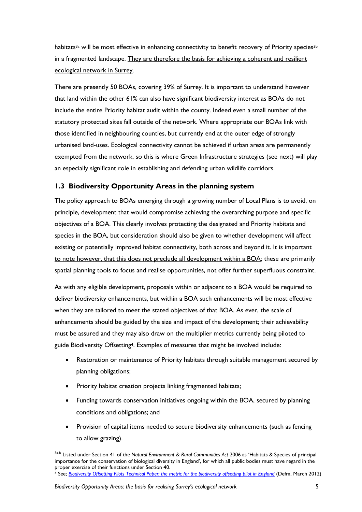habitats<sup>3a</sup> will be most effective in enhancing connectivity to benefit recovery of Priority species<sup>3b</sup> in a fragmented landscape. They are therefore the basis for achieving a coherent and resilient ecological network in Surrey.

There are presently 50 BOAs, covering 39% of Surrey. It is important to understand however that land within the other 61% can also have significant biodiversity interest as BOAs do not include the entire Priority habitat audit within the county. Indeed even a small number of the statutory protected sites fall outside of the network. Where appropriate our BOAs link with those identified in neighbouring counties, but currently end at the outer edge of strongly urbanised land-uses. Ecological connectivity cannot be achieved if urban areas are permanently exempted from the network, so this is where Green Infrastructure strategies (see next) will play an especially significant role in establishing and defending urban wildlife corridors.

#### **1.3 Biodiversity Opportunity Areas in the planning system**

The policy approach to BOAs emerging through a growing number of Local Plans is to avoid, on principle, development that would compromise achieving the overarching purpose and specific objectives of a BOA. This clearly involves protecting the designated and Priority habitats and species in the BOA, but consideration should also be given to whether development will affect existing or potentially improved habitat connectivity, both across and beyond it. It is important to note however, that this does not preclude all development within a BOA; these are primarily spatial planning tools to focus and realise opportunities, not offer further superfluous constraint.

As with any eligible development, proposals within or adjacent to a BOA would be required to deliver biodiversity enhancements, but within a BOA such enhancements will be most effective when they are tailored to meet the stated objectives of that BOA. As ever, the scale of enhancements should be guided by the size and impact of the development; their achievability must be assured and they may also draw on the multiplier metrics currently being piloted to guide Biodiversity Offsetting4. Examples of measures that might be involved include:

- Restoration or maintenance of Priority habitats through suitable management secured by planning obligations;
- Priority habitat creation projects linking fragmented habitats;
- Funding towards conservation initiatives ongoing within the BOA, secured by planning conditions and obligations; and
- Provision of capital items needed to secure biodiversity enhancements (such as fencing to allow grazing).

*Biodiversity Opportunity Areas: the basis for realising Surrey's ecological network* 5

<sup>3</sup>a-b Listed under Section 41 of the *Natural Environment & Rural Communities Act* 2006 as '[Habitats & Species of principal](http://www.naturalengland.org.uk/ourwork/conservation/biodiversity/protectandmanage/habsandspeciesimportance.aspx)  [importance for the conservation of biological diversity in England](http://www.naturalengland.org.uk/ourwork/conservation/biodiversity/protectandmanage/habsandspeciesimportance.aspx)', for which all public bodies must have regard in the proper exercise of their functions under Section 40.

<sup>4</sup> See; *[Biodiversity Offsetting Pilots Technical Paper: the metric for the biodiversity offsetting pilot in England](https://www.gov.uk/government/uploads/system/uploads/attachment_data/file/69531/pb13745-bio-technical-paper.pdf)* (Defra, March 2012)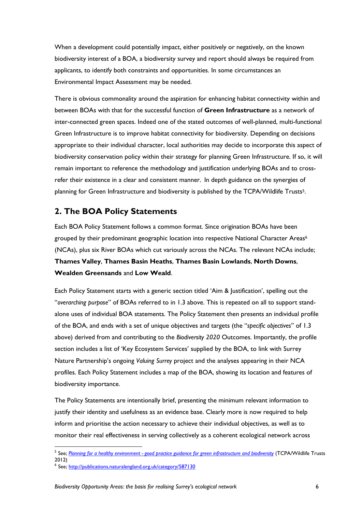When a development could potentially impact, either positively or negatively, on the known biodiversity interest of a BOA, a biodiversity survey and report should always be required from applicants, to identify both constraints and opportunities. In some circumstances an Environmental Impact Assessment may be needed.

There is obvious commonality around the aspiration for enhancing habitat connectivity within and between BOAs with that for the successful function of **Green Infrastructure** as a network of inter-connected green spaces. Indeed one of the stated outcomes of well-planned, multi-functional Green Infrastructure is to improve habitat connectivity for biodiversity. Depending on decisions appropriate to their individual character, local authorities may decide to incorporate this aspect of biodiversity conservation policy within their strategy for planning Green Infrastructure. If so, it will remain important to reference the methodology and justification underlying BOAs and to crossrefer their existence in a clear and consistent manner. In depth guidance on the synergies of planning for Green Infrastructure and biodiversity is published by the TCPA/Wildlife Trusts5.

### **2. The BOA Policy Statements**

Each BOA Policy Statement follows a common format. Since origination BOAs have been grouped by their predominant geographic location into respective National Character Areas<sup>6</sup> (NCAs), plus six River BOAs which cut variously across the NCAs. The relevant NCAs include; **Thames Valley**, **Thames Basin Heaths**, **Thames Basin Lowlands**, **North Downs**, **Wealden Greensands** and **Low Weald**.

Each Policy Statement starts with a generic section titled 'Aim & Justification', spelling out the "*overarching purpose*" of BOAs referred to in 1.3 above. This is repeated on all to support standalone uses of individual BOA statements. The Policy Statement then presents an individual profile of the BOA, and ends with a set of unique objectives and targets (the "*specific objectives*" of 1.3 above) derived from and contributing to the *Biodiversity 2020* Outcomes. Importantly, the profile section includes a list of 'Key Ecosystem Services' supplied by the BOA, to link with Surrey Nature Partnership's ongoing *Valuing Surrey* project and the analyses appearing in their NCA profiles. Each Policy Statement includes a map of the BOA, showing its location and features of biodiversity importance.

The Policy Statements are intentionally brief, presenting the minimum relevant information to justify their identity and usefulness as an evidence base. Clearly more is now required to help inform and prioritise the action necessary to achieve their individual objectives, as well as to monitor their real effectiveness in serving collectively as a coherent ecological network across

<sup>5</sup> See; *Planning for a healthy environment - [good practice guidance for green infrastructure and biodiversity](http://www.tcpa.org.uk/pages/planning-for-a-healthy-environment-good-practice-for-green-infrastructure-and-biodiversity.html)* (TCPA/Wildlife Trusts 2012)

<sup>&</sup>lt;sup>6</sup> See;<http://publications.naturalengland.org.uk/category/587130>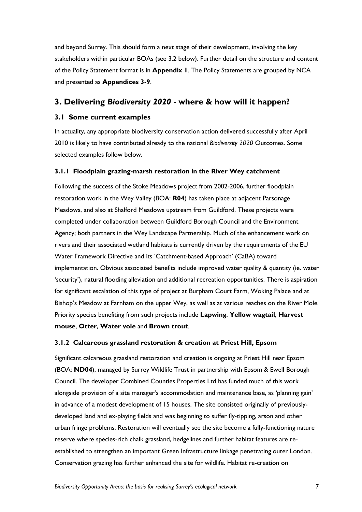and beyond Surrey. This should form a next stage of their development, involving the key stakeholders within particular BOAs (see 3.2 below). Further detail on the structure and content of the Policy Statement format is in **Appendix 1**. The Policy Statements are grouped by NCA and presented as **Appendices 3**-**9**.

#### **3. Delivering** *Biodiversity 2020* - **where & how will it happen?**

#### **3.1 Some current examples**

In actuality, any appropriate biodiversity conservation action delivered successfully after April 2010 is likely to have contributed already to the national *Biodiversity 2020* Outcomes. Some selected examples follow below.

#### **3.1.1 Floodplain grazing-marsh restoration in the River Wey catchment**

Following the success of the Stoke Meadows project from 2002-2006, further floodplain restoration work in the Wey Valley (BOA: **R04**) has taken place at adjacent Parsonage Meadows, and also at Shalford Meadows upstream from Guildford. These projects were completed under collaboration between Guildford Borough Council and the Environment Agency; both partners in the Wey Landscape Partnership. Much of the enhancement work on rivers and their associated wetland habitats is currently driven by the requirements of the EU Water Framework Directive and its 'Catchment-based Approach' (CaBA) toward implementation. Obvious associated benefits include improved water quality & quantity (ie. water 'security'), natural flooding alleviation and additional recreation opportunities. There is aspiration for significant escalation of this type of project at Burpham Court Farm, Woking Palace and at Bishop's Meadow at Farnham on the upper Wey, as well as at various reaches on the River Mole. Priority species benefiting from such projects include **Lapwing**, **Yellow wagtail**, **Harvest mouse**, **Otter**, **Water vole** and **Brown trout**.

#### **3.1.2 Calcareous grassland restoration & creation at Priest Hill, Epsom**

Significant calcareous grassland restoration and creation is ongoing at Priest Hill near Epsom (BOA: **ND04**), managed by Surrey Wildlife Trust in partnership with Epsom & Ewell Borough Council. The developer Combined Counties Properties Ltd has funded much of this work alongside provision of a site manager's accommodation and maintenance base, as 'planning gain' in advance of a modest development of 15 houses. The site consisted originally of previouslydeveloped land and ex-playing fields and was beginning to suffer fly-tipping, arson and other urban fringe problems. Restoration will eventually see the site become a fully-functioning nature reserve where species-rich chalk grassland, hedgelines and further habitat features are reestablished to strengthen an important Green Infrastructure linkage penetrating outer London. Conservation grazing has further enhanced the site for wildlife. Habitat re-creation on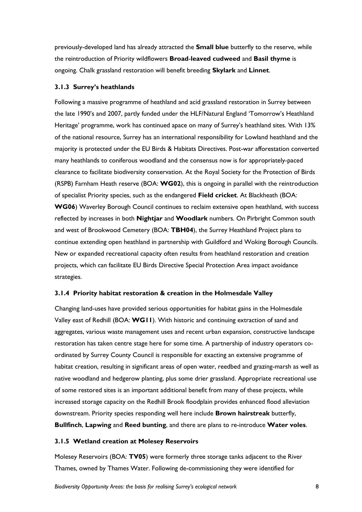previously-developed land has already attracted the **Small blue** butterfly to the reserve, while the reintroduction of Priority wildflowers **Broad**-**leaved cudweed** and **Basil thyme** is ongoing. Chalk grassland restoration will benefit breeding **Skylark** and **Linnet**.

#### **3.1.3 Surrey's heathlands**

Following a massive programme of heathland and acid grassland restoration in Surrey between the late 1990's and 2007, partly funded under the HLF/Natural England 'Tomorrow's Heathland Heritage' programme, work has continued apace on many of Surrey's heathland sites. With 13% of the national resource, Surrey has an international responsibility for Lowland heathland and the majority is protected under the EU Birds & Habitats Directives. Post-war afforestation converted many heathlands to coniferous woodland and the consensus now is for appropriately-paced clearance to facilitate biodiversity conservation. At the Royal Society for the Protection of Birds (RSPB) Farnham Heath reserve (BOA: **WG02**), this is ongoing in parallel with the reintroduction of specialist Priority species, such as the endangered **Field cricket**. At Blackheath (BOA: **WG06**) Waverley Borough Council continues to reclaim extensive open heathland, with success reflected by increases in both **Nightjar** and **Woodlark** numbers. On Pirbright Common south and west of Brookwood Cemetery (BOA: **TBH04**), the Surrey Heathland Project plans to continue extending open heathland in partnership with Guildford and Woking Borough Councils. New or expanded recreational capacity often results from heathland restoration and creation projects, which can facilitate EU Birds Directive Special Protection Area impact avoidance strategies.

#### **3.1.4 Priority habitat restoration & creation in the Holmesdale Valley**

Changing land-uses have provided serious opportunities for habitat gains in the Holmesdale Valley east of Redhill (BOA: **WG11**). With historic and continuing extraction of sand and aggregates, various waste management uses and recent urban expansion, constructive landscape restoration has taken centre stage here for some time. A partnership of industry operators coordinated by Surrey County Council is responsible for exacting an extensive programme of habitat creation, resulting in significant areas of open water, reedbed and grazing-marsh as well as native woodland and hedgerow planting, plus some drier grassland. Appropriate recreational use of some restored sites is an important additional benefit from many of these projects, while increased storage capacity on the Redhill Brook floodplain provides enhanced flood alleviation downstream. Priority species responding well here include **Brown hairstreak** butterfly, **Bullfinch**, **Lapwing** and **Reed bunting**, and there are plans to re-introduce **Water voles**.

#### **3.1.5 Wetland creation at Molesey Reservoirs**

Molesey Reservoirs (BOA: **TV05**) were formerly three storage tanks adjacent to the River Thames, owned by Thames Water. Following de-commissioning they were identified for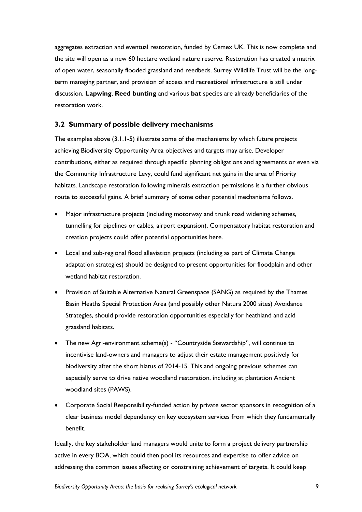aggregates extraction and eventual restoration, funded by Cemex UK. This is now complete and the site will open as a new 60 hectare wetland nature reserve. Restoration has created a matrix of open water, seasonally flooded grassland and reedbeds. Surrey Wildlife Trust will be the longterm managing partner, and provision of access and recreational infrastructure is still under discussion. **Lapwing**, **Reed bunting** and various **bat** species are already beneficiaries of the restoration work.

#### **3.2 Summary of possible delivery mechanisms**

The examples above (3.1.1-5) illustrate some of the mechanisms by which future projects achieving Biodiversity Opportunity Area objectives and targets may arise. Developer contributions, either as required through specific planning obligations and agreements or even via the Community Infrastructure Levy, could fund significant net gains in the area of Priority habitats. Landscape restoration following minerals extraction permissions is a further obvious route to successful gains. A brief summary of some other potential mechanisms follows.

- Major infrastructure projects (including motorway and trunk road widening schemes, tunnelling for pipelines or cables, airport expansion). Compensatory habitat restoration and creation projects could offer potential opportunities here.
- Local and sub-regional flood alleviation projects (including as part of Climate Change adaptation strategies) should be designed to present opportunities for floodplain and other wetland habitat restoration.
- Provision of Suitable Alternative Natural Greenspace (SANG) as required by the Thames Basin Heaths Special Protection Area (and possibly other Natura 2000 sites) Avoidance Strategies, should provide restoration opportunities especially for heathland and acid grassland habitats.
- The new Agri-environment scheme(s) "Countryside Stewardship", will continue to incentivise land-owners and managers to adjust their estate management positively for biodiversity after the short hiatus of 2014-15. This and ongoing previous schemes can especially serve to drive native woodland restoration, including at plantation Ancient woodland sites (PAWS).
- Corporate Social Responsibility-funded action by private sector sponsors in recognition of a clear business model dependency on key ecosystem services from which they fundamentally benefit.

Ideally, the key stakeholder land managers would unite to form a project delivery partnership active in every BOA, which could then pool its resources and expertise to offer advice on addressing the common issues affecting or constraining achievement of targets. It could keep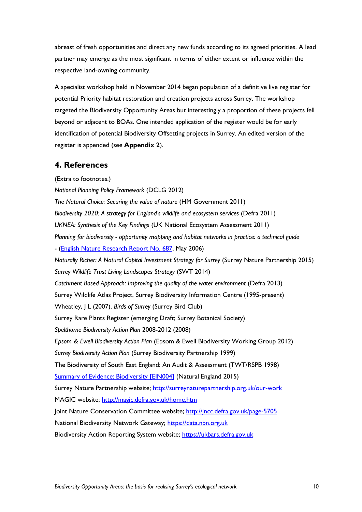abreast of fresh opportunities and direct any new funds according to its agreed priorities. A lead partner may emerge as the most significant in terms of either extent or influence within the respective land-owning community.

A specialist workshop held in November 2014 began population of a definitive live register for potential Priority habitat restoration and creation projects across Surrey. The workshop targeted the Biodiversity Opportunity Areas but interestingly a proportion of these projects fell beyond or adjacent to BOAs. One intended application of the register would be for early identification of potential Biodiversity Offsetting projects in Surrey. An edited version of the register is appended (see **Appendix 2**).

#### **4. References**

(Extra to footnotes.)

*National Planning Policy Framework* (DCLG 2012) *The Natural Choice: Securing the value of nature* (HM Government 2011) *Biodiversity 2020: A strategy for England's wildlife and ecosystem services* (Defra 2011) *UKNEA: Synthesis of the Key Findings* (UK National Ecosystem Assessment 2011) *Planning for biodiversity - opportunity mapping and habitat networks in practice: a technical guide* - [\(English Nature Research Report No. 687,](http://publications.naturalengland.org.uk/publication/59008?category=47017) May 2006) *Naturally Richer: A Natural Capital Investment Strategy for Surrey* (Surrey Nature Partnership 2015) *Surrey Wildlife Trust Living Landscapes Strategy* (SWT 2014) *Catchment Based Approach: Improving the quality of the water environment* (Defra 2013) Surrey Wildlife Atlas Project, Surrey Biodiversity Information Centre (1995-present) Wheatley, J L (2007). *Birds of Surrey* (Surrey Bird Club) Surrey Rare Plants Register (emerging Draft; Surrey Botanical Society) *Spelthorne Biodiversity Action Plan* 2008-2012 (2008) *Epsom & Ewell Biodiversity Action Plan* (Epsom & Ewell Biodiversity Working Group 2012) *Surrey Biodiversity Action Plan* (Surrey Biodiversity Partnership 1999) The Biodiversity of South East England: An Audit & Assessment (TWT/RSPB 1998) Summary of Evidence: [Biodiversity \[EIN004\]](http://publications.naturalengland.org.uk/publication/5359608648433664) (Natural England 2015) Surrey Nature Partnership website;<http://surreynaturepartnership.org.uk/our-work> MAGIC website; <http://magic.defra.gov.uk/home.htm> Joint Nature Conservation Committee website;<http://jncc.defra.gov.uk/page-5705> National Biodiversity Network Gateway; [https://data.nbn.org.uk](https://data.nbn.org.uk/) Biodiversity Action Reporting System website; [https://ukbars.defra.gov.uk](https://ukbars.defra.gov.uk/)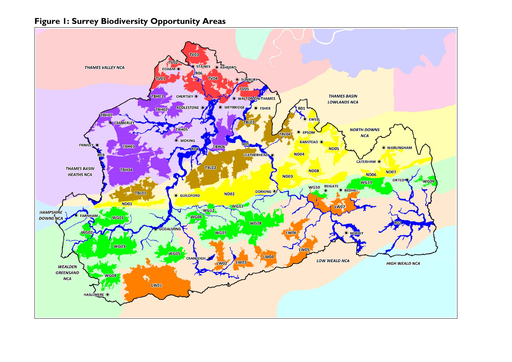

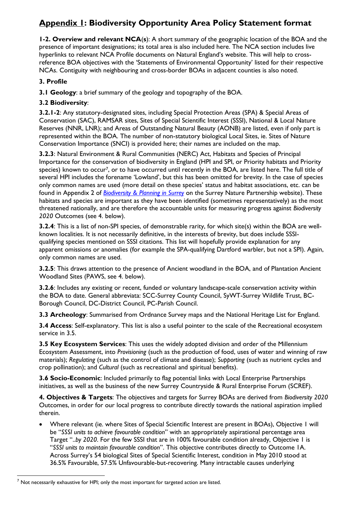## **Appendix 1: Biodiversity Opportunity Area Policy Statement format**

**1-2. Overview and relevant NCA**(**s**): A short summary of the geographic location of the BOA and the presence of important designations; its total area is also included here. The NCA section includes live hyperlinks to relevant NCA Profile documents on Natural England's website. This will help to crossreference BOA objectives with the 'Statements of Environmental Opportunity' listed for their respective NCAs. Contiguity with neighbouring and cross-border BOAs in adjacent counties is also noted.

#### **3. Profile**

**3.1 Geology**: a brief summary of the geology and topography of the BOA.

#### **3.2 Biodiversity**:

**3.2.1-2**: Any statutory-designated sites, including Special Protection Areas (SPA) & Special Areas of Conservation (SAC), RAMSAR sites, Sites of Special Scientific Interest (SSSI), National & Local Nature Reserves (NNR, LNR); and Areas of Outstanding Natural Beauty (AONB) are listed, even if only part is represented within the BOA. The number of non-statutory biological Local Sites, ie. Sites of Nature Conservation Importance (SNCI) is provided here; their names are included on the map.

**3.2.3**: Natural Environment & Rural Communities (NERC) Act, Habitats and Species of Principal Importance for the conservation of biodiversity in England (HPI and SPI, or Priority habitats and Priority species) known to occur<sup>7</sup>, or to have occurred until recently in the BOA, are listed here. The full title of several HPI includes the forename 'Lowland', but this has been omitted for brevity. In the case of species only common names are used (more detail on these species' status and habitat associations, etc. can be found in Appendix 2 of *[Biodiversity & Planning in Surrey](http://surreynaturepartnership.org.uk/our-work/)* on the Surrey Nature Partnership website). These habitats and species are important as they have been identified (sometimes representatively) as the most threatened nationally, and are therefore the accountable units for measuring progress against *Biodiversity 2020* Outcomes (see 4. below).

**3.2.4**: This is a list of non-SPI species, of demonstrable rarity, for which site(s) within the BOA are wellknown localities. It is not necessarily definitive, in the interests of brevity, but does include SSSIqualifying species mentioned on SSSI citations. This list will hopefully provide explanation for any apparent omissions or anomalies (for example the SPA-qualifying Dartford warbler, but not a SPI). Again, only common names are used.

**3.2.5**: This draws attention to the presence of Ancient woodland in the BOA, and of Plantation Ancient Woodland Sites (PAWS, see 4. below).

**3.2.6**: Includes any existing or recent, funded or voluntary landscape-scale conservation activity within the BOA to date. General abbreviata: SCC-Surrey County Council, SyWT-Surrey Wildlife Trust, BC-Borough Council, DC-District Council, PC-Parish Council.

**3.3 Archeology**: Summarised from Ordnance Survey maps and the National Heritage List for England.

**3.4 Access**: Self-explanatory. This list is also a useful pointer to the scale of the Recreational ecosystem service in 3.5.

**3.5 Key Ecosystem Services**: This uses the widely adopted division and order of the Millennium Ecosystem Assessment, into *Provisioning* (such as the production of food, uses of water and winning of raw materials); *Regulating* (such as the control of climate and disease); *Supporting* (such as nutrient cycles and crop pollination); and *Cultural* (such as recreational and spiritual benefits).

**3.6 Socio-Economic**: Included primarily to flag potential links with Local Enterprise Partnerships initiatives, as well as the business of the new Surrey Countryside & Rural Enterprise Forum (SCREF).

**4. Objectives & Targets**: The objectives and targets for Surrey BOAs are derived from *Biodiversity 2020* Outcomes, in order for our local progress to contribute directly towards the national aspiration implied therein.

 Where relevant (ie. where Sites of Special Scientific Interest are present in BOAs), Objective 1 will be "*SSSI units to achieve favourable condition*" with an appropriately aspirational percentage area Target "..*by 2020*. For the few SSSI that are in 100% favourable condition already, Objective 1 is "*SSSI units to maintain favourable condition*". This objective contributes directly to Outcome 1A. Across Surrey's 54 biological Sites of Special Scientific Interest, condition in May 2010 stood at 36.5% Favourable, 57.5% Unfavourable-but-recovering. Many intractable causes underlying

 $<sup>7</sup>$  Not necessarily exhaustive for HPI; only the most important for targeted action are listed.</sup>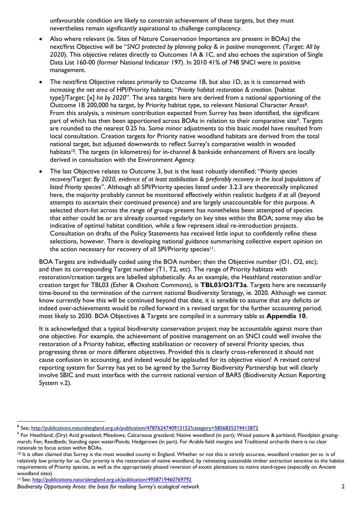unfavourable condition are likely to constrain achievement of these targets, but they must nevertheless remain significantly aspirational to challenge complacency.

- Also where relevant (ie. Sites of Nature Conservation Importance are present in BOAs) the next/first Objective will be "*SNCI protected by planning policy & in positive management.* (Target: *All by 2020*). This objective relates directly to Outcomes 1A & 1C, and also echoes the aspiration of Single Data List 160-00 (former National Indicator 197). In 2010 41% of 748 SNCI were in positive management.
- The next/first Objective relates primarily to Outcome 1B, but also 1D, as it is concerned with *increasing the net area* of HPI/Priority habitats; "*Priority habitat restoration & creation.* [habitat type]*/*Target: [x] *ha by 2020*". The area targets here are derived from a national apportioning of the Outcome 1B 200,000 ha target, by Priority habitat type, to relevant National Character Areas8. From this analysis, a *minimum* contribution expected from Surrey has been identified, the significant part of which has then been apportioned across BOAs in relation to their comparative size9. Targets are rounded to the nearest 0.25 ha. Some minor adjustments to this basic model have resulted from local consultation. Creation targets for Priority native woodland habitats are derived from the total national target, but adjusted downwards to reflect Surrey's comparative wealth in wooded habitats<sup>10</sup>. The targets (in kilometres) for in-channel & bankside enhancement of Rivers are locally derived in consultation with the Environment Agency.
- The last Objective relates to Outcome 3, but is the least robustly identified; "*Priority species recovery*/Target: *By 2020, evidence of at least stabilisation & preferably recovery in the local populations of listed Priority species*". Although all SPI/Priority species listed under 3.2.3 are theoretically implicated here, the majority probably cannot be monitored effectively within realistic budgets if at all (beyond attempts to ascertain their continued presence) and are largely unaccountable for this purpose. A selected short-list across the range of groups present has nonetheless been attempted of species that either could be or are already counted regularly on key sites within the BOA; some may also be indicative of optimal habitat condition, while a few represent ideal re-introduction projects. Consultation on drafts of the Policy Statements has received little input to confidently refine these selections, however. There is developing national guidance summarising collective expert opinion on the action necessary for recovery of all SPI/Priority species<sup>11</sup>.

BOA Targets are individually coded using the BOA number; then the Objective number (O1, O2, etc); and then its corresponding Target number (T1, T2, etc). The range of Priority habitats with restoration/creation targets are labelled alphabetically. As an example, the Heathland restoration and/or creation target for TBL03 (Esher & Oxshott Commons), is **TBL03/O3/T3a**. Targets here are necessarily time-bound to the termination of the current national Biodiversity Strategy, ie. 2020. Although we cannot know currently how this will be continued beyond that date, it is sensible to assume that any deficits or indeed over-achievements would be rolled forward in a revised target for the further accounting period, most likely to 2030. BOA Objectives & Targets are compiled in a summary table as **Appendix 10**.

It is acknowledged that a typical biodiversity conservation project may be accountable against more than one objective. For example, the achievement of positive management on an SNCI could well involve the restoration of a Priority habitat, effecting stabilisation or recovery of several Priority species, thus progressing three or more different objectives. Provided this is clearly cross-referenced it should not cause confusion in accounting, and indeed would be applauded for its objective vision! A revised central reporting system for Surrey has yet to be agreed by the Surrey Biodiversity Partnership but will clearly involve SBIC and must interface with the current national version of BARS (Biodiversity Action Reporting System v.2).

<sup>&</sup>lt;sup>8</sup> See; <u>http://publications.naturalengland.org.uk/publication/4787624740913152?category=5856835374415872</u>

<sup>&</sup>lt;sup>9</sup> For Heathland; (Dry) Acid grassland; Meadows; Calcareous grassland; Native woodland (in part); Wood pasture & parkland; Floodplain grazingmarsh; Fen; Reedbeds; Standing open water/Ponds; Hedgerows (in part). For Arable field margins and Traditional orchards there is no clear rationale to focus action within BOAs.

<sup>10</sup> It is often claimed that Surrey is the most wooded county in England. Whether or not this is strictly accurate, woodland creation *per se*. is of relatively low priority for us. Our priority is the restoration of native woodland, by reinstating sustainable timber extraction sensitive to the habitat requirements of Priority species, as well as the appropriately phased reversion of exotic plantations to native stand-types (especially on Ancient woodland sites).

<sup>11</sup> See;<http://publications.naturalengland.org.uk/publication/4958719460769792>

*Biodiversity Opportunity Areas: the basis for realising Surrey's ecological network* 2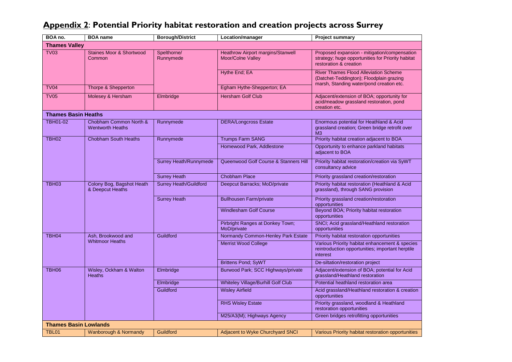#### **BOA no. BOA name Borough/District Location/manager Project summary Thames Valley** TV03 Staines Moor & Shortwood Common Spelthorne/ Runnymede Heathrow Airport margins/Stanwell Moor/Colne Valley Proposed expansion - mitigation/compensation strategy; huge opportunities for Priority habitat restoration & creation Hythe End; EA River Thames Flood Alleviation Scheme (Datchet-Teddington); Floodplain grazing marsh, Standing water/pond creation etc. TV04 Thorpe & Shepperton **TV04** Thorpe & Shepperton EA TV05 Molesey & Hersham Elmbridge Hersham Golf Club Adjacent/extension of BOA; opportunity for acid/meadow grassland restoration, pond creation etc. **Thames Basin Heaths** TBH01-02 Chobham Common North & Wentworth Heaths Runnymede DERA/Longcross Estate Enormous potential for Heathland & Acid grassland creation; Green bridge retrofit over M<sub>3</sub> TBH02 Chobham South Heaths Runnymede Trumps Farm SANG Priority habitat creation adjacent to BOA Homewood Park, Addlestone Opportunity to enhance parkland habitats adjacent to BOA Surrey Heath/Runnymede Queenwood Golf Course & Stanners Hill Priority habitat restoration/creation via SWVT consultancy advice Surrey Heath Chobham Place Priority grassland creation/restoration TBH03 Colony Bog, Bagshot Heath & Deepcut Heaths Surrey Heath/Guildford | Deepcut Barracks: MoD/private | Priority habitat restoration (Heathland & Acid grassland), through SANG provision Surrey Heath Bullhousen Farm/private Priority grassland creation/restoration opportunities Windlesham Golf Course Beyond BOA; Priority habitat restoration opportunities Pirbright Ranges at Donkey Town: MoD/private SNCI; Acid grassland/Heathland restoration opportunities TBH04 Ash, Brookwood and Whitmoor Heaths Guildford Normandy Common-Henley Park Estate Priority habitat restoration opportunities Merrist Wood College Various Priority habitat enhancement & species reintroduction opportunities; important herptile interest Brittens Pond: SvWT De-siltation/restoration project TBH06 Wisley, Ockham & Walton **Heaths** Elmbridge Burwood Park; SCC Highways/private Adjacent/extension of BOA; potential for Acid grassland/Heathland restoration Elmbridge Whiteley Village/Burhill Golf Club Potential heathland restoration area Guildford Wisley Airfield **Acid grassland/Heathland restoration & creation** opportunities RHS Wisley Estate **Priority grassland, woodland & Heathland** restoration opportunities M25/A3(M); Highways Agency Green bridges retrofitting opportunities **Thames Basin Lowlands** TBL01 Wanborough & Normandy Guildford Adjacent to Wyke Churchyard SNCI Various Priority habitat restoration opportunities

#### **Appendix 2**: **Potential Priority habitat restoration and creation projects across Surrey**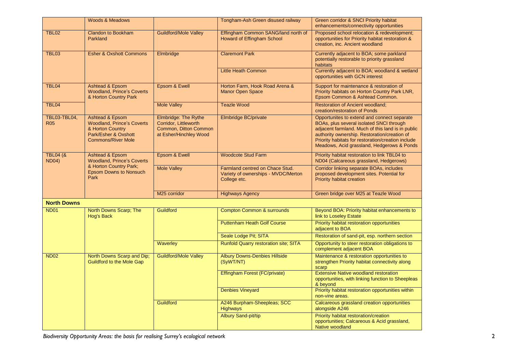|                                                                                                                                                                           | <b>Woods &amp; Meadows</b>                                                                                                               |                                                                                                  | Tongham-Ash Green disused railway                                                                                         | Green corridor & SNCI Priority habitat<br>enhancements/connectivity opportunities                                                                                                                                                                                                                |
|---------------------------------------------------------------------------------------------------------------------------------------------------------------------------|------------------------------------------------------------------------------------------------------------------------------------------|--------------------------------------------------------------------------------------------------|---------------------------------------------------------------------------------------------------------------------------|--------------------------------------------------------------------------------------------------------------------------------------------------------------------------------------------------------------------------------------------------------------------------------------------------|
| <b>TBL02</b>                                                                                                                                                              | <b>Clandon to Bookham</b><br>Parkland                                                                                                    | <b>Guildford/Mole Valley</b>                                                                     | Effingham Common SANG/land north of<br>Howard of Effingham School                                                         | Proposed school relocation & redevelopment;<br>opportunities for Priority habitat restoration &<br>creation, inc. Ancient woodland                                                                                                                                                               |
| TBL03                                                                                                                                                                     | <b>Esher &amp; Oxshott Commons</b>                                                                                                       | Elmbridge                                                                                        | <b>Claremont Park</b>                                                                                                     | Currently adjacent to BOA; some parkland<br>potentially restorable to priority grassland<br>habitats                                                                                                                                                                                             |
|                                                                                                                                                                           |                                                                                                                                          |                                                                                                  | <b>Little Heath Common</b>                                                                                                | Currently adjacent to BOA; woodland & wetland<br>opportunities with GCN interest                                                                                                                                                                                                                 |
| TBL04                                                                                                                                                                     | <b>Ashtead &amp; Epsom</b><br><b>Woodland, Prince's Coverts</b><br>& Horton Country Park                                                 | Epsom & Ewell                                                                                    | Horton Farm, Hook Road Arena &<br><b>Manor Open Space</b>                                                                 | Support for maintenance & restoration of<br>Priority habitats on Horton Country Park LNR,<br>Epsom Common & Ashtead Common.                                                                                                                                                                      |
| TBL04                                                                                                                                                                     |                                                                                                                                          | <b>Mole Valley</b>                                                                               | <b>Teazle Wood</b>                                                                                                        | <b>Restoration of Ancient woodland:</b><br>creation/restoration of Ponds                                                                                                                                                                                                                         |
| TBL03-TBL04,<br><b>R05</b>                                                                                                                                                | <b>Ashtead &amp; Epsom</b><br><b>Woodland, Prince's Coverts</b><br>& Horton Country<br>Park/Esher & Oxshott<br><b>Commons/River Mole</b> | Elmbridge: The Rythe<br>Corridor, Littleworth<br>Common, Ditton Common<br>at Esher/Hinchley Wood | Elmbridge BC/private                                                                                                      | Opportunites to extend and connect separate<br>BOAs, plus several isolated SNCI through<br>adjacent farmland. Much of this land is in public<br>authority ownership. Restoration/creation of<br>Priority habitats for restoration/creation include<br>Meadows, Acid grassland, Hedgerows & Ponds |
| <b>TBL04 (&amp;</b><br><b>Ashtead &amp; Epsom</b><br><b>Woodland, Prince's Coverts</b><br><b>ND04)</b><br>& Horton Country Park;<br><b>Epsom Downs to Nonsuch</b><br>Park |                                                                                                                                          | Epsom & Ewell                                                                                    | <b>Woodcote Stud Farm</b>                                                                                                 | Priority habitat restoration to link TBL04 to<br>ND04 (Calcareous grassland, Hedgerows)                                                                                                                                                                                                          |
|                                                                                                                                                                           | <b>Mole Valley</b>                                                                                                                       | Farmland centred on Chace Stud.<br>Variety of ownerships - MVDC/Merton<br>College etc.           | Corridor linking separate BOAs, includes<br>proposed development sites. Potential for<br><b>Priority habitat creation</b> |                                                                                                                                                                                                                                                                                                  |
|                                                                                                                                                                           |                                                                                                                                          | M25 corridor                                                                                     | <b>Highways Agency</b>                                                                                                    | Green bridge over M25 at Teazle Wood                                                                                                                                                                                                                                                             |
| <b>North Downs</b>                                                                                                                                                        |                                                                                                                                          |                                                                                                  |                                                                                                                           |                                                                                                                                                                                                                                                                                                  |
| <b>ND01</b>                                                                                                                                                               | North Downs Scarp; The<br>Hog's Back                                                                                                     | <b>Guildford</b>                                                                                 | <b>Compton Common &amp; surrounds</b>                                                                                     | Beyond BOA: Priority habitat enhancements to<br>link to Loseley Estate                                                                                                                                                                                                                           |
|                                                                                                                                                                           |                                                                                                                                          |                                                                                                  | <b>Puttenham Heath Golf Course</b>                                                                                        | Priority habitat restoration opportunities<br>adjacent to BOA                                                                                                                                                                                                                                    |
|                                                                                                                                                                           |                                                                                                                                          |                                                                                                  | Seale Lodge Pit; SITA                                                                                                     | Restoration of sand-pit, esp. northern section                                                                                                                                                                                                                                                   |
|                                                                                                                                                                           |                                                                                                                                          | Waverley                                                                                         | Runfold Quarry restoration site; SITA                                                                                     | Opportunity to steer restoration obligations to<br>complement adjacent BOA                                                                                                                                                                                                                       |
| <b>ND02</b>                                                                                                                                                               | North Downs Scarp and Dip;<br><b>Guildford to the Mole Gap</b>                                                                           | <b>Guildford/Mole Valley</b>                                                                     | <b>Albury Downs-Denbies Hillside</b><br>(SyWT/NT)                                                                         | Maintenance & restoration opportunities to<br>strengthen Priority habitat connectivity along<br>scarp                                                                                                                                                                                            |
|                                                                                                                                                                           |                                                                                                                                          |                                                                                                  | Effingham Forest (FC/private)                                                                                             | <b>Extensive Native woodland restoration</b><br>opportunities, with linking function to Sheepleas<br>& beyond                                                                                                                                                                                    |
|                                                                                                                                                                           |                                                                                                                                          |                                                                                                  | <b>Denbies Vineyard</b>                                                                                                   | Priority habitat restoration opportunities within<br>non-vine areas.                                                                                                                                                                                                                             |
|                                                                                                                                                                           |                                                                                                                                          | <b>Guildford</b>                                                                                 | A246 Burpham-Sheepleas; SCC<br><b>Highways</b>                                                                            | Calcareous grassland creation opportunities<br>alongside A246                                                                                                                                                                                                                                    |
|                                                                                                                                                                           |                                                                                                                                          |                                                                                                  | <b>Albury Sand-pit/tip</b>                                                                                                | Priority habitat restoration/creation<br>opportunities; Calcareous & Acid grassland,<br>Native woodland                                                                                                                                                                                          |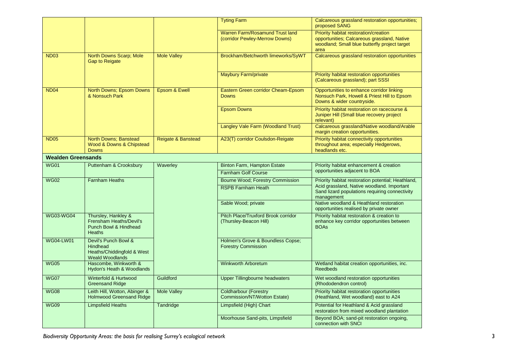|                           |                                                                                                 |                    | <b>Tyting Farm</b>                                                | Calcareous grassland restoration opportunities;<br>proposed SANG                                                                                                 |
|---------------------------|-------------------------------------------------------------------------------------------------|--------------------|-------------------------------------------------------------------|------------------------------------------------------------------------------------------------------------------------------------------------------------------|
|                           |                                                                                                 |                    | Warren Farm/Rosamund Trust land<br>(corridor Pewley-Merrow Downs) | Priority habitat restoration/creation<br>opportunities; Calcareous grassland, Native<br>woodland; Small blue butterfly project target<br>area                    |
| <b>ND03</b>               | North Downs Scarp; Mole<br><b>Gap to Reigate</b>                                                | <b>Mole Valley</b> | Brockham/Betchworth limeworks/SyWT                                | Calcareous grassland restoration opportunities                                                                                                                   |
|                           |                                                                                                 |                    | <b>Maybury Farm/private</b>                                       | Priority habitat restoration opportunities<br>(Calcareous grassland); part SSSI                                                                                  |
| <b>ND04</b>               | North Downs; Epsom Downs<br>& Nonsuch Park                                                      | Epsom & Ewell      | Eastern Green corridor Cheam-Epsom<br><b>Downs</b>                | Opportunities to enhance corridor linking<br>Nonsuch Park, Howell & Priest Hill to Epsom<br>Downs & wider countryside.                                           |
|                           |                                                                                                 |                    | <b>Epsom Downs</b>                                                | Priority habitat restoration on racecourse &<br>Juniper Hill (Small blue recovery project<br>relevant)                                                           |
|                           |                                                                                                 |                    | Langley Vale Farm (Woodland Trust)                                | Calcareous grassland/Native woodland/Arable<br>margin creation opportunities.                                                                                    |
| <b>ND05</b>               | North Downs; Banstead<br>Wood & Downs & Chipstead<br><b>Downs</b>                               | Reigate & Banstead | A23(T) corridor Coulsdon-Reigate                                  | Priority habitat connectivity opportunities<br>throughout area; especially Hedgerows,<br>headlands etc.                                                          |
| <b>Wealden Greensands</b> |                                                                                                 |                    |                                                                   |                                                                                                                                                                  |
| <b>WG01</b>               | <b>Puttenham &amp; Crooksbury</b>                                                               | Waverley           | <b>Binton Farm, Hampton Estate</b>                                | Priority habitat enhancement & creation                                                                                                                          |
|                           |                                                                                                 |                    | <b>Farnham Golf Course</b>                                        | opportunities adjacent to BOA                                                                                                                                    |
| <b>WG02</b>               | <b>Farnham Heaths</b>                                                                           |                    | Bourne Wood: Forestry Commission<br><b>RSPB Farnham Heath</b>     | Priority habitat restoration potential; Heathland,<br>Acid grassland, Native woodland. Important<br>Sand lizard populations requiring connectivity<br>management |
|                           |                                                                                                 |                    | Sable Wood; private                                               | Native woodland & Heathland restoration<br>opportunities realised by private owner                                                                               |
| <b>WG03-WG04</b>          | Thursley, Hankley &<br>Frensham Heaths/Devil's<br>Punch Bowl & Hindhead<br><b>Heaths</b>        |                    | Pitch Place/Truxford Brook corridor<br>(Thursley-Beacon Hill)     | Priority habitat restoration & creation to<br>enhance key corridor opportunities between<br><b>BOAs</b>                                                          |
| <b>WG04-LW01</b>          | Devil's Punch Bowl &<br><b>Hindhead</b><br>Heaths/Chiddingfold & West<br><b>Weald Woodlands</b> |                    | Holmen's Grove & Boundless Copse;<br><b>Forestry Commission</b>   |                                                                                                                                                                  |
| <b>WG05</b>               | Hascombe, Winkworth &<br>Hydon's Heath & Woodlands                                              |                    | <b>Winkworth Arboretum</b>                                        | Wetland habitat creation opportunities, inc.<br><b>Reedbeds</b>                                                                                                  |
| <b>WG07</b>               | Winterfold & Hurtwood<br><b>Greensand Ridge</b>                                                 | <b>Guildford</b>   | <b>Upper Tillingbourne headwaters</b>                             | Wet woodland restoration opportunities<br>(Rhododendron control)                                                                                                 |
| <b>WG08</b>               | Leith Hill, Wotton, Abinger &<br><b>Holmwood Greensand Ridge</b>                                | <b>Mole Valley</b> | <b>Coldharbour (Forestry</b><br>Commission/NT/Wotton Estate)      | Priority habitat restoration opportunities<br>(Heathland, Wet woodland) east to A24                                                                              |
| <b>WG09</b>               | <b>Limpsfield Heaths</b>                                                                        | Tandridge          | Limpsfield (High) Chart                                           | Potential for Heathland & Acid grassland<br>restoration from mixed woodland plantation                                                                           |
|                           |                                                                                                 |                    | Moorhouse Sand-pits, Limpsfield                                   | Beyond BOA; sand-pit restoration ongoing,<br>connection with SNCI                                                                                                |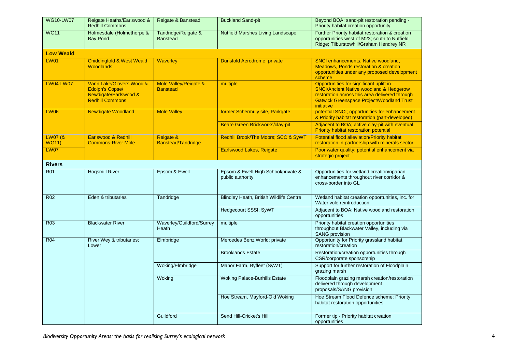| <b>WG10-LW07</b>       | Reigate Heaths/Earlswood &<br><b>Redhill Commons</b>                                           | Reigate & Banstead                                | <b>Buckland Sand-pit</b>                                | Beyond BOA; sand-pit restoration pending -<br>Priority habitat creation opportunity                                                                                                                               |
|------------------------|------------------------------------------------------------------------------------------------|---------------------------------------------------|---------------------------------------------------------|-------------------------------------------------------------------------------------------------------------------------------------------------------------------------------------------------------------------|
| <b>WG11</b>            | Holmesdale (Holmethorpe &<br><b>Bay Pond</b>                                                   | Tandridge/Reigate &<br><b>Banstead</b>            | <b>Nutfield Marshes Living Landscape</b>                | Further Priority habitat restoration & creation<br>opportunities west of M23; south to Nutfield<br>Ridge; Tilburstowhill/Graham Hendrey NR                                                                        |
| <b>Low Weald</b>       |                                                                                                |                                                   |                                                         |                                                                                                                                                                                                                   |
| <b>LW01</b>            | <b>Chiddingfold &amp; West Weald</b><br><b>Woodlands</b>                                       | <b>Waverley</b>                                   | Dunsfold Aerodrome; private                             | SNCI enhancements, Native woodland,<br>Meadows, Ponds restoration & creation<br>opportunities under any proposed development<br>scheme                                                                            |
| <b>LW04-LW07</b>       | Vann Lake/Glovers Wood &<br>Edolph's Copse/<br>Newdigate/Earlswood &<br><b>Redhill Commons</b> | Mole Valley/Reigate &<br><b>Banstead</b>          | multiple                                                | Opportunities for significant uplift in<br><b>SNCI/Ancient Native woodland &amp; Hedgerow</b><br>restoration across this area delivered through<br><b>Gatwick Greenspace Project/Woodland Trust</b><br>initiative |
| <b>LW06</b>            | <b>Newdigate Woodland</b>                                                                      | <b>Mole Valley</b>                                | former Schermuly site, Parkgate                         | potential SNCI; opportunities for enhancement<br>& Priority habitat restoration (part-developed)                                                                                                                  |
|                        |                                                                                                |                                                   | <b>Beare Green Brickworks/clay-pit</b>                  | Adjacent to BOA; active clay-pit with eventual<br><b>Priority habitat restoration potential</b>                                                                                                                   |
| LW07(8<br><b>WG11)</b> | Earlswood & Redhill<br><b>Commons-River Mole</b>                                               | <b>Reigate &amp;</b><br><b>Banstead/Tandridge</b> | Redhill Brook/The Moors; SCC & SyWT                     | Potential flood alleviation/Priority habitat<br>restoration in partnership with minerals sector                                                                                                                   |
| <b>LW07</b>            |                                                                                                |                                                   | Earlswood Lakes, Reigate                                | Poor water quality; potential enhancement via<br>strategic project                                                                                                                                                |
| <b>Rivers</b>          |                                                                                                |                                                   |                                                         |                                                                                                                                                                                                                   |
| <b>R01</b>             | <b>Hogsmill River</b>                                                                          | Epsom & Ewell                                     | Epsom & Ewell High School/private &<br>public authority | Opportunities for wetland creation/riparian<br>enhancements throughout river corridor &<br>cross-border into GL                                                                                                   |
| <b>R02</b>             | Eden & tributaries                                                                             | Tandridge                                         | Blindley Heath, British Wildlife Centre                 | Wetland habitat creation opportunities, inc. for<br>Water vole reintroduction                                                                                                                                     |
|                        |                                                                                                |                                                   | Hedgecourt SSSI; SyWT                                   | Adjacent to BOA; Native woodland restoration<br>opportunities                                                                                                                                                     |
| R <sub>03</sub>        | <b>Blackwater River</b>                                                                        | Waverley/Guildford/Surrey<br>Heath                | multiple                                                | Priority habitat creation opportunities<br>throughout Blackwater Valley, including via<br><b>SANG</b> provision                                                                                                   |
| <b>R04</b>             | River Wey & tributaries;<br>Lower                                                              | Elmbridge                                         | Mercedes Benz World; private                            | Opportunity for Priority grassland habitat<br>restoration/creation                                                                                                                                                |
|                        |                                                                                                |                                                   | <b>Brooklands Estate</b>                                | Restoration/creation opportunities through<br>CSR/corporate sponsorship                                                                                                                                           |
|                        |                                                                                                | Woking/Elmbridge                                  | Manor Farm, Byfleet (SyWT)                              | Support for further restoration of Floodplain<br>grazing marsh                                                                                                                                                    |
|                        |                                                                                                | Woking                                            | <b>Woking Palace-Burhills Estate</b>                    | Floodplain grazing marsh creation/restoration<br>delivered through development<br>proposals/SANG provision                                                                                                        |
|                        |                                                                                                |                                                   | Hoe Stream, Mayford-Old Woking                          | Hoe Stream Flood Defence scheme; Priority<br>habitat restoration opportunities                                                                                                                                    |
|                        |                                                                                                | Guildford                                         | Send Hill-Cricket's Hill                                | Former tip - Priority habitat creation<br>opportunities                                                                                                                                                           |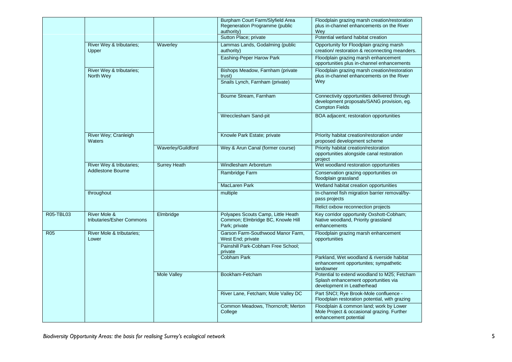|                  |                                                      |                     | Burpham Court Farm/Slyfield Area<br>Regeneration Programme (public<br>authority)<br>Sutton Place; private | Floodplain grazing marsh creation/restoration<br>plus in-channel enhancements on the River<br>Wey<br>Potential wetland habitat creation |
|------------------|------------------------------------------------------|---------------------|-----------------------------------------------------------------------------------------------------------|-----------------------------------------------------------------------------------------------------------------------------------------|
|                  | River Wey & tributaries;<br>Upper                    | Waverley            | Lammas Lands, Godalming (public<br>authority)                                                             | Opportunity for Floodplain grazing marsh<br>creation/restoration & reconnecting meanders.                                               |
|                  |                                                      |                     | Eashing-Peper Harow Park                                                                                  | Floodplain grazing marsh enhancement<br>opportunities plus in-channel enhancements                                                      |
|                  | River Wey & tributaries;<br>North Wey                |                     | Bishops Meadow, Farnham (private<br>trust)<br>Snails Lynch, Farnham (private)                             | Floodplain grazing marsh creation/restoration<br>plus in-channel enhancements on the River<br>Wey                                       |
|                  |                                                      |                     | Bourne Stream, Farnham                                                                                    | Connectivity opportunities delivered through<br>development proposals/SANG provision, eg.<br><b>Compton Fields</b>                      |
|                  |                                                      |                     | Wrecclesham Sand-pit                                                                                      | BOA adjacent; restoration opportunities                                                                                                 |
|                  | River Wey; Cranleigh<br><b>Waters</b>                |                     | Knowle Park Estate; private                                                                               | Priority habitat creation/restoration under<br>proposed development scheme                                                              |
|                  |                                                      | Waverley/Guildford  | Wey & Arun Canal (former course)                                                                          | Priority habitat creation/restoration<br>opportunities alongside canal restoration<br>project                                           |
|                  | River Wey & tributaries;<br><b>Addlestone Bourne</b> | <b>Surrey Heath</b> | Windlesham Arboretum                                                                                      | Wet woodland restoration opportunities                                                                                                  |
|                  |                                                      |                     | Rambridge Farm                                                                                            | Conservation grazing opportunities on<br>floodplain grassland                                                                           |
|                  |                                                      |                     | <b>MacLaren Park</b>                                                                                      | Wetland habitat creation opportunities                                                                                                  |
|                  | throughout                                           |                     | multiple                                                                                                  | In-channel fish migration barrier removal/by-<br>pass projects                                                                          |
|                  |                                                      |                     |                                                                                                           | Relict oxbow reconnection projects                                                                                                      |
| <b>R05-TBL03</b> | River Mole &<br>tributaries/Esher Commons            | Elmbridge           | Polyapes Scouts Camp, Little Heath<br>Common; Elmbridge BC, Knowle Hill<br>Park; private                  | Key corridor opportunity Oxshott-Cobham;<br>Native woodland, Priority grassland<br>enhancements                                         |
| <b>R05</b>       | River Mole & tributaries;<br>Lower                   |                     | Garson Farm-Southwood Manor Farm,<br>West End; private                                                    | Floodplain grazing marsh enhancement<br>opportunities                                                                                   |
|                  |                                                      |                     | Painshill Park-Cobham Free School;<br>private                                                             |                                                                                                                                         |
|                  |                                                      |                     | <b>Cobham Park</b>                                                                                        | Parkland, Wet woodland & riverside habitat<br>enhancement opportunites; sympathetic<br>landowner                                        |
|                  |                                                      | <b>Mole Valley</b>  | Bookham-Fetcham                                                                                           | Potential to extend woodland to M25; Fetcham<br>Splash enhancement opportunities via<br>development in Leatherhead                      |
|                  |                                                      |                     | River Lane, Fetcham; Mole Valley DC                                                                       | Part SNCI; Rye Brook-Mole confluence -<br>Floodplain restoration potential, with grazing                                                |
|                  |                                                      |                     | Common Meadows, Thorncroft; Merton<br>College                                                             | Floodplain & common land; work by Lower<br>Mole Project & occasional grazing. Further<br>enhancement potential                          |